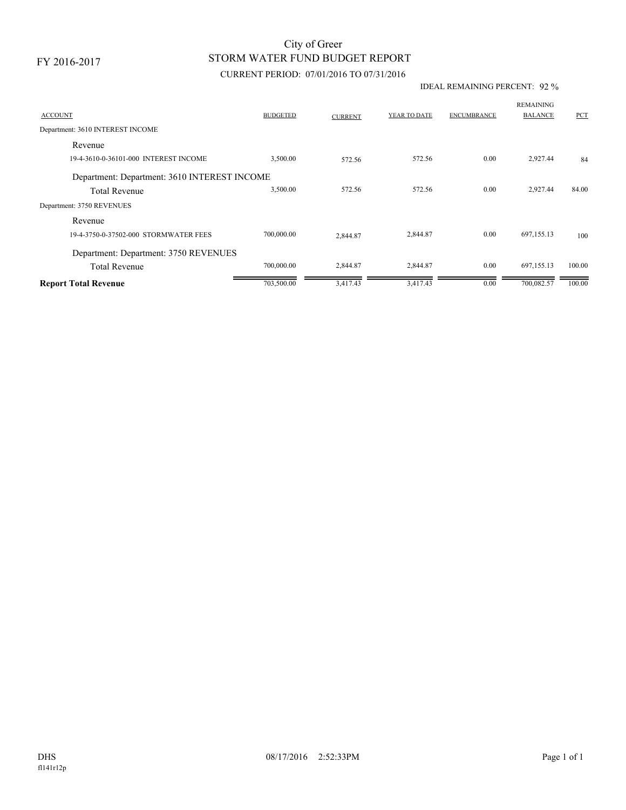FY 2016-2017

# STORM WATER FUND BUDGET REPORT City of Greer

### CURRENT PERIOD: 07/01/2016 TO 07/31/2016

#### IDEAL REMAINING PERCENT: 92 %

| <b>ACCOUNT</b>                               | <b>BUDGETED</b> | <b>CURRENT</b> | YEAR TO DATE | <b>ENCUMBRANCE</b> | <b>REMAINING</b><br><b>BALANCE</b> | PCT    |
|----------------------------------------------|-----------------|----------------|--------------|--------------------|------------------------------------|--------|
| Department: 3610 INTEREST INCOME             |                 |                |              |                    |                                    |        |
| Revenue                                      |                 |                |              |                    |                                    |        |
| 19-4-3610-0-36101-000 INTEREST INCOME        | 3,500.00        | 572.56         | 572.56       | 0.00               | 2,927.44                           | 84     |
| Department: Department: 3610 INTEREST INCOME |                 |                |              |                    |                                    |        |
| <b>Total Revenue</b>                         | 3,500.00        | 572.56         | 572.56       | 0.00               | 2,927.44                           | 84.00  |
| Department: 3750 REVENUES                    |                 |                |              |                    |                                    |        |
| Revenue                                      |                 |                |              |                    |                                    |        |
| 19-4-3750-0-37502-000 STORMWATER FEES        | 700,000.00      | 2.844.87       | 2,844.87     | 0.00               | 697,155.13                         | 100    |
| Department: Department: 3750 REVENUES        |                 |                |              |                    |                                    |        |
| <b>Total Revenue</b>                         | 700,000.00      | 2,844.87       | 2,844.87     | 0.00               | 697,155.13                         | 100.00 |
| <b>Report Total Revenue</b>                  | 703,500.00      | 3,417.43       | 3,417.43     | 0.00               | 700,082.57                         | 100.00 |